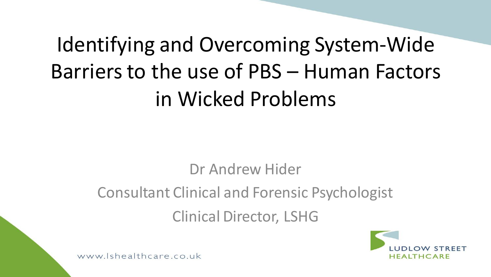# Identifying and Overcoming System-Wide Barriers to the use of PBS – Human Factors in Wicked Problems

Dr Andrew Hider

Consultant Clinical and Forensic Psychologist

Clinical Director, LSHG

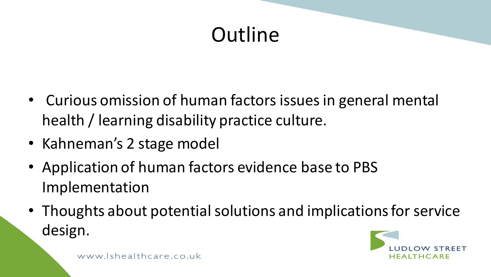### **Outline**

- Curious omission of human factors issues in general mental health / learning disability practice culture.
- Kahneman's 2 stage model
- Application of human factors evidence base to PBS Implementation
- Thoughts about potential solutions and implications for service design.

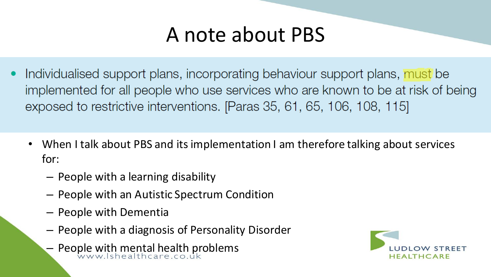#### A note about PBS

- Individualised support plans, incorporating behaviour support plans, must be implemented for all people who use services who are known to be at risk of being exposed to restrictive interventions. [Paras 35, 61, 65, 106, 108, 115]
	- When I talk about PBS and its implementation I am therefore talking about services for:
		- People with a learning disability
		- People with an Autistic Spectrum Condition
		- People with Dementia
		- People with a diagnosis of Personality Disorder
		- People with mental health problems

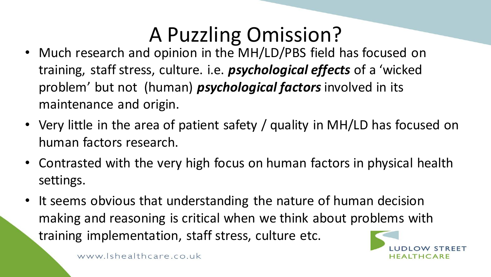## A Puzzling Omission?

- Much research and opinion in the MH/LD/PBS field has focused on training, staff stress, culture. i.e. *psychological effects* of a 'wicked problem' but not (human) *psychological factors* involved in its maintenance and origin.
- Very little in the area of patient safety / quality in MH/LD has focused on human factors research.
- Contrasted with the very high focus on human factors in physical health settings.
- It seems obvious that understanding the nature of human decision making and reasoning is critical when we think about problems with training implementation, staff stress, culture etc.

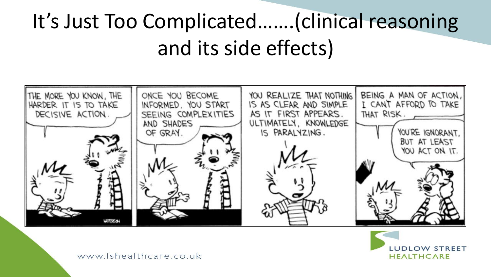# It's Just Too Complicated…….(clinical reasoning and its side effects)



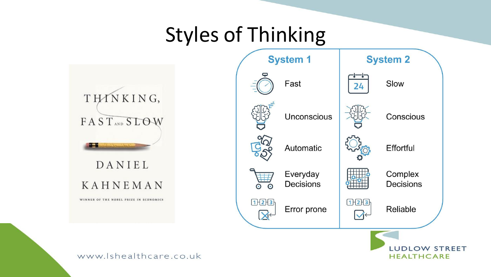#### Styles of Thinking

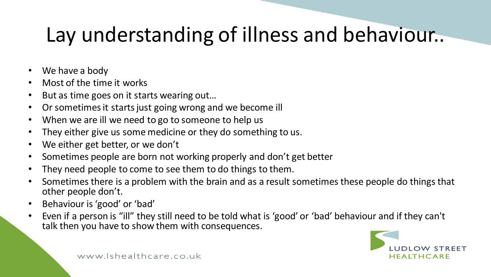## Lay understanding of illness and behaviour..

- We have a body
- Most of the time it works
- But as time goes on it starts wearing out...
- Or sometimes it starts just going wrong and we become ill
- When we are ill we need to go to someone to help us
- They either give us some medicine or they do something to us.
- We either get better, or we don't
- Sometimes people are born not working properly and don't get better
- They need people to come to see them to do things to them.
- Sometimes there is a problem with the brain and as a result sometimes these people do things that other people don't.
- Behaviour is 'good' or 'bad'
- Even if a person is "ill" they still need to be told what is 'good' or 'bad' behaviour and if they can't talk then you have to show them with consequences.

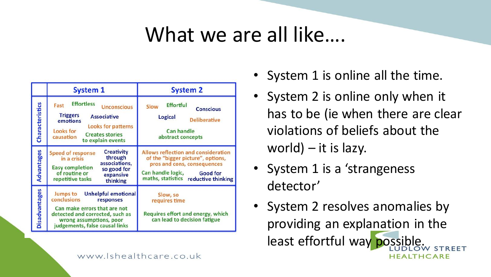#### What we are all like….

|                      | <b>System 1</b>                                                                                                                                                                                            | <b>System 2</b>                                                                                                                                                                                |
|----------------------|------------------------------------------------------------------------------------------------------------------------------------------------------------------------------------------------------------|------------------------------------------------------------------------------------------------------------------------------------------------------------------------------------------------|
| Characteristics      | <b>Effortless</b><br>Fast<br><b>Unconscious</b><br><b>Triggers</b><br><b>Associative</b><br>emotions<br><b>Looks for patterns</b><br>Looks for<br><b>Creates stories</b><br>causation<br>to explain events | <b>Effortful</b><br>Slow<br><b>Conscious</b><br>Logical<br><b>Deliberative</b><br><b>Can handle</b><br>abstract concepts                                                                       |
| Advantages           | Creativity<br><b>Speed of response</b><br>through<br>in a crisis<br>associations,<br><b>Easy completion</b><br>so good for<br>of routine or<br>expansive<br>repetitive tasks<br>thinking                   | <b>Allows reflection and consideration</b><br>of the "bigger picture", options,<br>pros and cons, consequences<br>Can handle logic,<br><b>Good for</b><br>maths, statistics reductive thinking |
| <b>Disadvantages</b> | <b>Jumps to</b><br><b>Unhelpful emotional</b><br>conclusions<br>responses<br>Can make errors that are not<br>detected and corrected, such as<br>wrong assumptions, poor<br>judgements, false causal links  | Slow, so<br>requires time<br>Requires effort and energy, which<br>can lead to decision fatigue                                                                                                 |

- System 1 is online all the time.
- System 2 is online only when it has to be (ie when there are clear violations of beliefs about the world)  $-$  it is lazy.
- System 1 is a 'strangeness detector'
- System 2 resolves anomalies by providing an explanation in the least effortful way possible.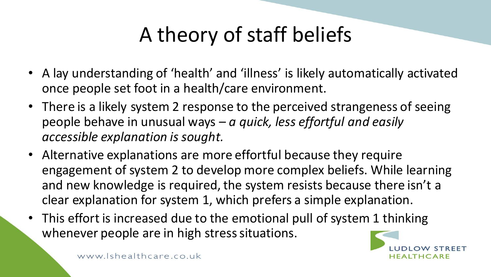# A theory of staff beliefs

- A lay understanding of 'health' and 'illness' is likely automatically activated once people set foot in a health/care environment.
- There is a likely system 2 response to the perceived strangeness of seeing people behave in unusual ways – *a quick, less effortful and easily accessible explanation is sought.*
- Alternative explanations are more effortful because they require engagement of system 2 to develop more complex beliefs. While learning and new knowledge is required, the system resists because there isn't a clear explanation for system 1, which prefers a simple explanation.
- This effort is increased due to the emotional pull of system 1 thinking whenever people are in high stress situations.

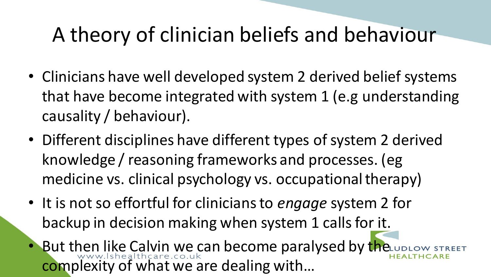#### A theory of clinician beliefs and behaviour

- Clinicians have well developed system 2 derived belief systems that have become integrated with system 1 (e.g understanding causality / behaviour).
- Different disciplines have different types of system 2 derived knowledge / reasoning frameworks and processes. (eg medicine vs. clinical psychology vs. occupational therapy)
- It is not so effortful for clinicians to *engage* system 2 for backup in decision making when system 1 calls for it.
- But then like Calvin we can become paralysed by the up Low complexity of what we are dealing with…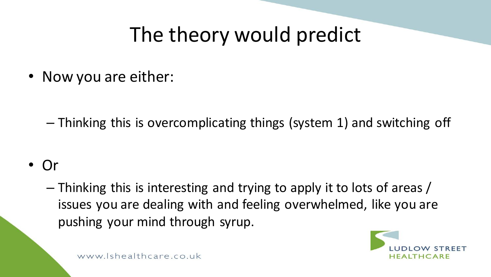## The theory would predict

• Now you are either:

– Thinking this is overcomplicating things (system 1) and switching off

• Or

– Thinking this is interesting and trying to apply it to lots of areas / issues you are dealing with and feeling overwhelmed, like you are pushing your mind through syrup.

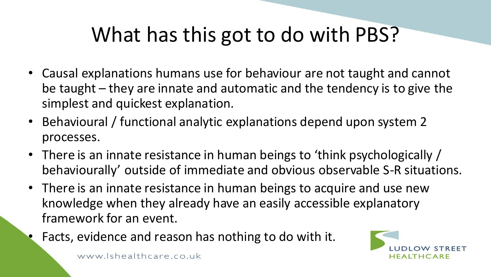- Causal explanations humans use for behaviour are not taught and cannot be taught – they are innate and automatic and the tendency is to give the simplest and quickest explanation.
- Behavioural / functional analytic explanations depend upon system 2 processes.
- There is an innate resistance in human beings to 'think psychologically / behaviourally' outside of immediate and obvious observable S-R situations.
- There is an innate resistance in human beings to acquire and use new knowledge when they already have an easily accessible explanatory framework for an event.
	- Facts, evidence and reason has nothing to do with it.

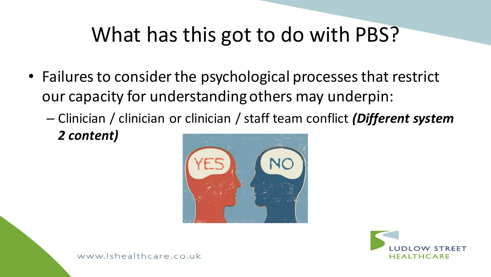- Failures to consider the psychological processes that restrict our capacity for understanding others may underpin:
	- Clinician / clinician or clinician / staff team conflict *(Different system 2 content)*



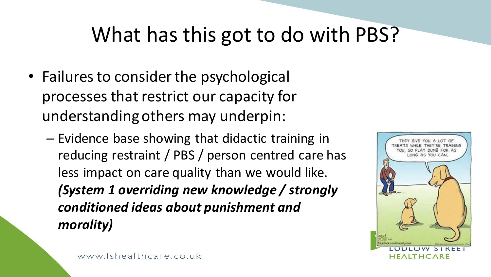- Failures to consider the psychological processes that restrict our capacity for understanding others may underpin:
	- Evidence base showing that didactic training in reducing restraint / PBS / person centred care has less impact on care quality than we would like. *(System 1 overriding new knowledge / strongly conditioned ideas about punishment and morality)*

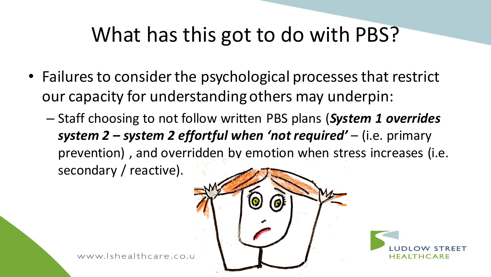- Failures to consider the psychological processes that restrict our capacity for understanding others may underpin:
	- Staff choosing to not follow written PBS plans (*System 1 overrides system 2 – system 2 effortful when 'not required'* – (i.e. primary prevention) , and overridden by emotion when stress increases (i.e. secondary / reactive).



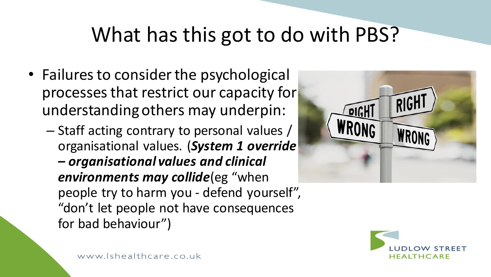- Failures to consider the psychological processes that restrict our capacity for understanding others may underpin:
	- Staff acting contrary to personal values / organisational values. (*System 1 override – organisational values and clinical environments may collide*(eg "when people try to harm you - defend yourself", "don't let people not have consequences for bad behaviour")



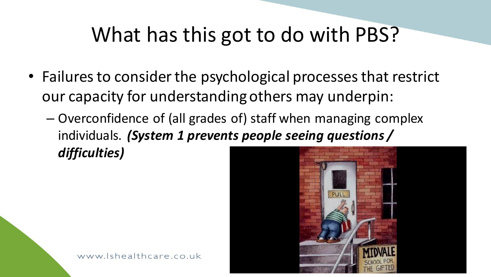- Failures to consider the psychological processes that restrict our capacity for understanding others may underpin:
	- Overconfidence of (all grades of) staff when managing complex individuals. *(System 1 prevents people seeing questions / difficulties)*

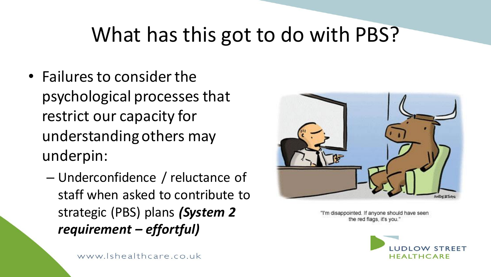- Failures to consider the psychological processes that restrict our capacity for understanding others may underpin:
	- Underconfidence / reluctance of staff when asked to contribute to strategic (PBS) plans *(System 2 requirement – effortful)*



"I'm disappointed. If anyone should have seen the red flags, it's you."

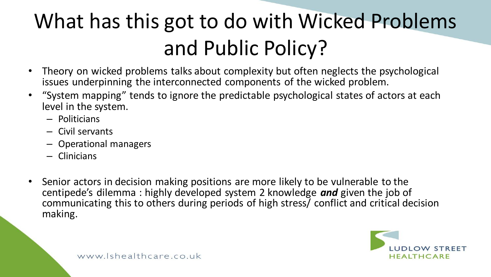# What has this got to do with Wicked Problems and Public Policy?

- Theory on wicked problems talks about complexity but often neglects the psychological issues underpinning the interconnected components of the wicked problem.
- "System mapping" tends to ignore the predictable psychological states of actors at each level in the system.
	- Politicians
	- Civil servants
	- Operational managers
	- Clinicians
- Senior actors in decision making positions are more likely to be vulnerable to the centipede's dilemma : highly developed system 2 knowledge *and* given the job of communicating this to others during periods of high stress/ conflict and critical decision making.

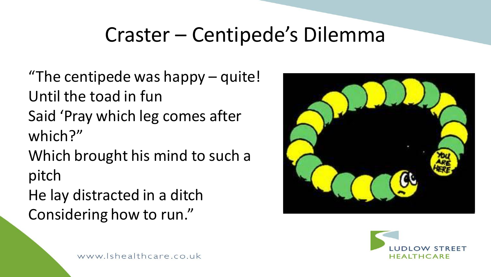#### Craster – Centipede's Dilemma

"The centipede was happy – quite! Until the toad in fun Said 'Pray which leg comes after which?" Which brought his mind to such a pitch

He lay distracted in a ditch Considering how to run."



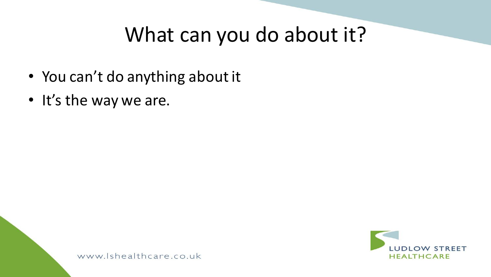#### What can you do about it?

- You can't do anything about it
- It's the way we are.

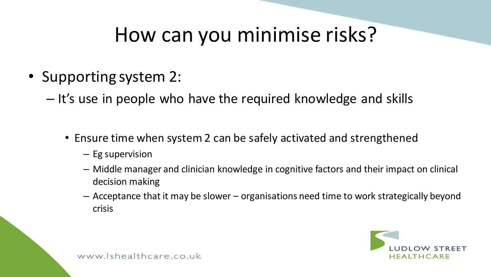#### How can you minimise risks?

- Supporting system 2:
	- It's use in people who have the required knowledge and skills
		- Ensure time when system 2 can be safely activated and strengthened
			- Eg supervision
			- Middle manager and clinician knowledge in cognitive factors and their impact on clinical decision making
			- Acceptance that it may be slower organisations need time to work strategically beyond crisis

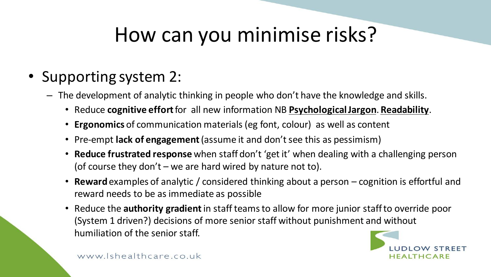#### How can you minimise risks?

- Supporting system 2:
	- The development of analytic thinking in people who don't have the knowledge and skills.
		- Reduce **cognitive effort** for all new information NB **Psychological Jargon**. **Readability**.
		- **Ergonomics** of communication materials (eg font, colour) as well as content
		- Pre-empt **lack of engagement** (assume it and don't see this as pessimism)
		- **Reduce frustrated response** when staff don't 'get it' when dealing with a challenging person (of course they don't – we are hard wired by nature not to).
		- **Reward**examples of analytic / considered thinking about a person cognition is effortful and reward needs to be as immediate as possible
		- Reduce the **authority gradient** in staff teams to allow for more junior staff to override poor (System 1 driven?) decisions of more senior staff without punishment and without humiliation of the senior staff.

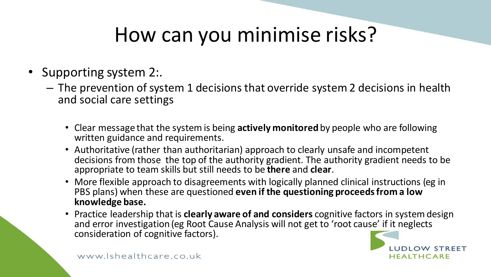## How can you minimise risks?

- Supporting system 2:.
	- The prevention of system 1 decisions that override system 2 decisions in health and social care settings
		- Clear message that the system is being **actively monitored** by people who are following written guidance and requirements.
		- Authoritative (rather than authoritarian) approach to clearly unsafe and incompetent decisions from those the top of the authority gradient. The authority gradient needs to be appropriate to team skills but still needs to be **there** and **clear**.
		- More flexible approach to disagreements with logically planned clinical instructions (eg in PBS plans) when these are questioned **even if the questioning proceeds from a low knowledge base.**
		- Practice leadership that is **clearly aware of and considers** cognitive factors in system design and error investigation (eg Root Cause Analysis will not get to 'root cause' if it neglects consideration of cognitive factors).

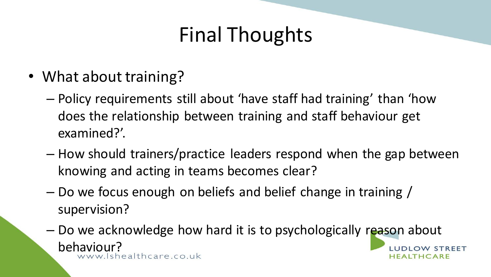#### Final Thoughts

- What about training?
	- Policy requirements still about 'have staff had training' than 'how does the relationship between training and staff behaviour get examined?'.
	- How should trainers/practice leaders respond when the gap between knowing and acting in teams becomes clear?
	- Do we focus enough on beliefs and belief change in training / supervision?
	- Do we acknowledge how hard it is to psychologically reason about behaviour?<br>www.Ishealthcare.co.uk W STREET **FALTHCARE**